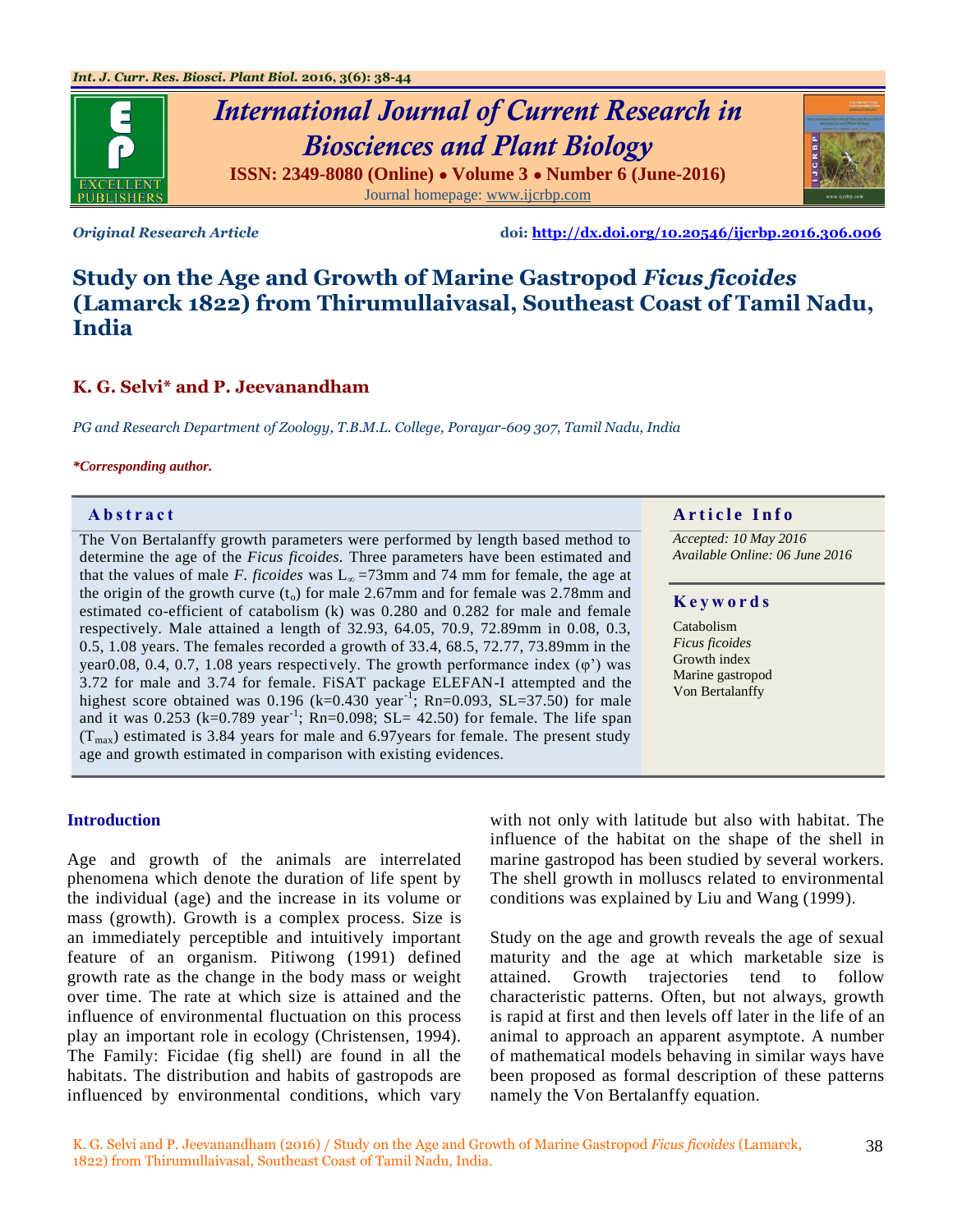

# *International Journal of Current Research in Biosciences and Plant Biology* **ISSN: 2349-8080 (Online) ● Volume 3 ● Number 6 (June-2016)** Journal homepage: [www.ijcrbp.com](http://www.ijcrbp.com/)

*Original Research Article* **doi:<http://dx.doi.org/10.20546/ijcrbp.2016.306.006>**

# **Study on the Age and Growth of Marine Gastropod** *Ficus ficoides* **(Lamarck 1822) from Thirumullaivasal, Southeast Coast of Tamil Nadu, India**

# **K. G. Selvi\* and P. Jeevanandham**

*PG and Research Department of Zoology, T.B.M.L. College, Porayar-609 307, Tamil Nadu, India*

#### *\*Corresponding author.*

The Von Bertalanffy growth parameters were performed by length based method to determine the age of the *Ficus ficoides.* Three parameters have been estimated and that the values of male *F. ficoides* was  $L_{\infty}$  =73mm and 74 mm for female, the age at the origin of the growth curve  $(t_0)$  for male 2.67mm and for female was 2.78mm and estimated co-efficient of catabolism (k) was 0.280 and 0.282 for male and female respectively. Male attained a length of 32.93, 64.05, 70.9, 72.89mm in 0.08, 0.3, 0.5, 1.08 years. The females recorded a growth of 33.4, 68.5, 72.77, 73.89mm in the year0.08, 0.4, 0.7, 1.08 years respectively. The growth performance index  $(\varphi)$  was 3.72 for male and 3.74 for female. FiSAT package ELEFAN-I attempted and the highest score obtained was 0.196 (k=0.430 year<sup>-1</sup>; Rn=0.093, SL=37.50) for male and it was  $0.253$  (k=0.789 year<sup>-1</sup>; Rn=0.098; SL= 42.50) for female. The life span  $(T<sub>max</sub>)$  estimated is 3.84 years for male and 6.97 years for female. The present study age and growth estimated in comparison with existing evidences.

#### **Introduction**

Age and growth of the animals are interrelated phenomena which denote the duration of life spent by the individual (age) and the increase in its volume or mass (growth). Growth is a complex process. Size is an immediately perceptible and intuitively important feature of an organism. Pitiwong (1991) defined growth rate as the change in the body mass or weight over time. The rate at which size is attained and the influence of environmental fluctuation on this process play an important role in ecology (Christensen, 1994). The Family: Ficidae (fig shell) are found in all the habitats. The distribution and habits of gastropods are influenced by environmental conditions, which vary with not only with latitude but also with habitat. The influence of the habitat on the shape of the shell in marine gastropod has been studied by several workers. The shell growth in molluscs related to environmental conditions was explained by Liu and Wang (1999).

Study on the age and growth reveals the age of sexual maturity and the age at which marketable size is attained. Growth trajectories tend to follow characteristic patterns. Often, but not always, growth is rapid at first and then levels off later in the life of an animal to approach an apparent asymptote. A number of mathematical models behaving in similar ways have been proposed as formal description of these patterns namely the Von Bertalanffy equation.

# **Abstract And a region of the Info**  $\alpha$  **Article Info**

*Accepted: 10 May 2016 Available Online: 06 June 2016*

#### **K e y w o r d s**

**Catabolism** *Ficus ficoides* Growth index Marine gastropod Von Bertalanffy

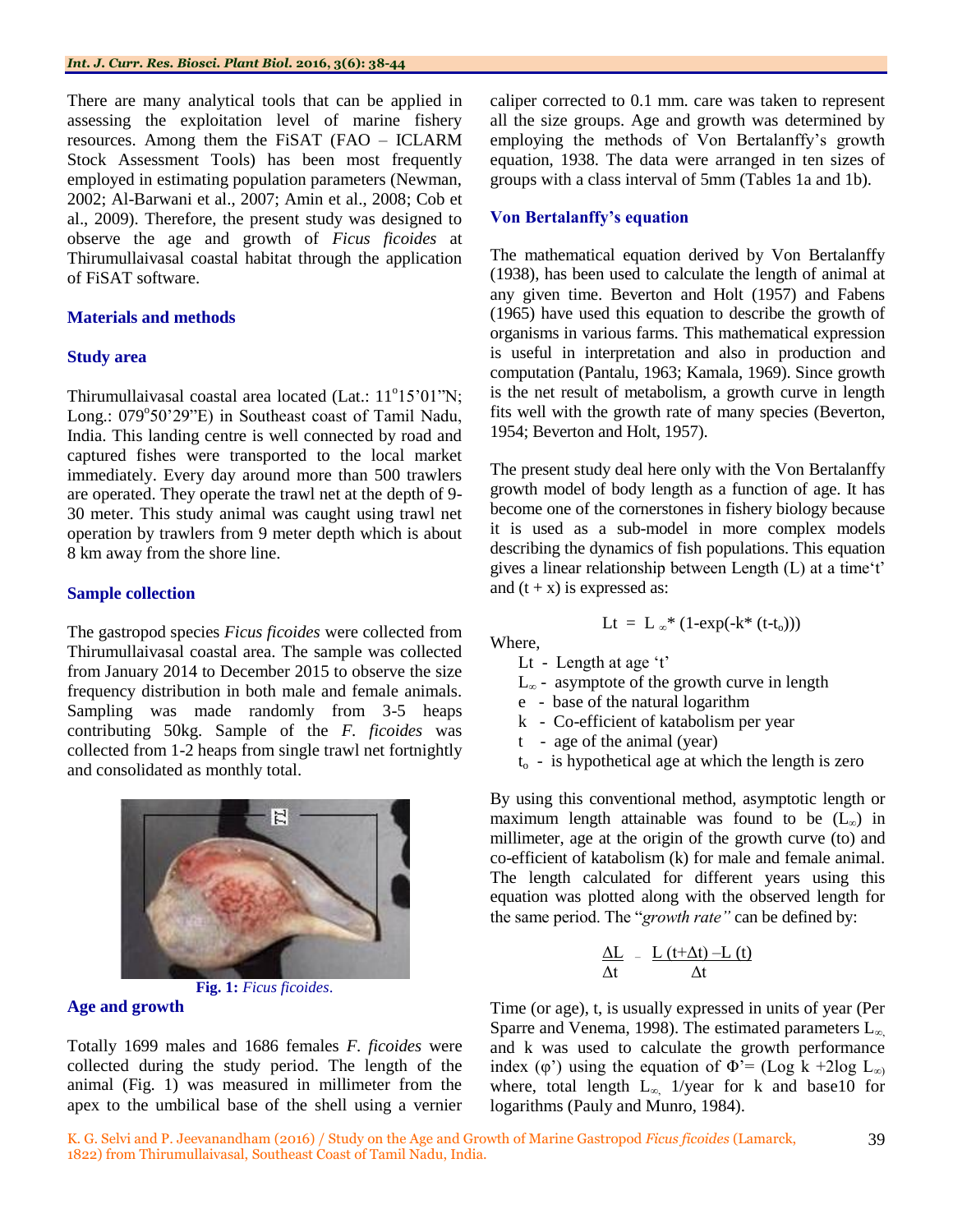There are many analytical tools that can be applied in assessing the exploitation level of marine fishery resources. Among them the FiSAT (FAO – ICLARM Stock Assessment Tools) has been most frequently employed in estimating population parameters (Newman, 2002; Al-Barwani et al., 2007; Amin et al., 2008; Cob et al., 2009). Therefore, the present study was designed to observe the age and growth of *Ficus ficoides* at Thirumullaivasal coastal habitat through the application of FiSAT software.

### **Materials and methods**

#### **Study area**

Thirumullaivasal coastal area located (Lat.:  $11^{\circ}15^{\circ}01^{\prime\prime}$ N; Long.: 079°50'29"E) in Southeast coast of Tamil Nadu, India. This landing centre is well connected by road and captured fishes were transported to the local market immediately. Every day around more than 500 trawlers are operated. They operate the trawl net at the depth of 9- 30 meter. This study animal was caught using trawl net operation by trawlers from 9 meter depth which is about 8 km away from the shore line.

#### **Sample collection**

The gastropod species *Ficus ficoides* were collected from Thirumullaivasal coastal area. The sample was collected from January 2014 to December 2015 to observe the size frequency distribution in both male and female animals. Sampling was made randomly from 3-5 heaps contributing 50kg. Sample of the *F. ficoides* was collected from 1-2 heaps from single trawl net fortnightly and consolidated as monthly total.



**Fig. 1:** *Ficus ficoides*.

## **Age and growth**

Totally 1699 males and 1686 females *F. ficoides* were collected during the study period. The length of the animal (Fig. 1) was measured in millimeter from the apex to the umbilical base of the shell using a vernier

caliper corrected to 0.1 mm. care was taken to represent all the size groups. Age and growth was determined by employing the methods of Von Bertalanffy"s growth equation, 1938. The data were arranged in ten sizes of groups with a class interval of 5mm (Tables 1a and 1b).

### **Von Bertalanffy's equation**

The mathematical equation derived by Von Bertalanffy (1938), has been used to calculate the length of animal at any given time. Beverton and Holt (1957) and Fabens (1965) have used this equation to describe the growth of organisms in various farms. This mathematical expression is useful in interpretation and also in production and computation (Pantalu, 1963; Kamala, 1969). Since growth is the net result of metabolism, a growth curve in length fits well with the growth rate of many species (Beverton, 1954; Beverton and Holt, 1957).

The present study deal here only with the Von Bertalanffy growth model of body length as a function of age. It has become one of the cornerstones in fishery biology because it is used as a sub-model in more complex models describing the dynamics of fish populations. This equation gives a linear relationship between Length (L) at a time"t" and  $(t + x)$  is expressed as:

$$
Lt = L_{\infty} * (1-\exp(-k^* (t-t_o)))
$$

Where, Lt - Length at age  $'t'$ 

- $L_{\infty}$  asymptote of the growth curve in length
- e base of the natural logarithm
- k Co-efficient of katabolism per year
- t age of the animal (year)
- $t<sub>o</sub>$  is hypothetical age at which the length is zero

By using this conventional method, asymptotic length or maximum length attainable was found to be  $(L<sub>∞</sub>)$  in millimeter, age at the origin of the growth curve (to) and co-efficient of katabolism (k) for male and female animal. The length calculated for different years using this equation was plotted along with the observed length for the same period. The "*growth rate"* can be defined by:

$$
\frac{\Delta L}{\Delta t} - \frac{L(t+\Delta t) - L(t)}{\Delta t}
$$

Time (or age), t, is usually expressed in units of year (Per Sparre and Venema, 1998). The estimated parameters  $L_{\infty}$ and k was used to calculate the growth performance index (φ') using the equation of  $\Phi$ <sup>'=</sup> (Log k +2log L<sub>∞)</sub> where, total length  $L_{\infty}$  1/year for k and base10 for logarithms (Pauly and Munro, 1984).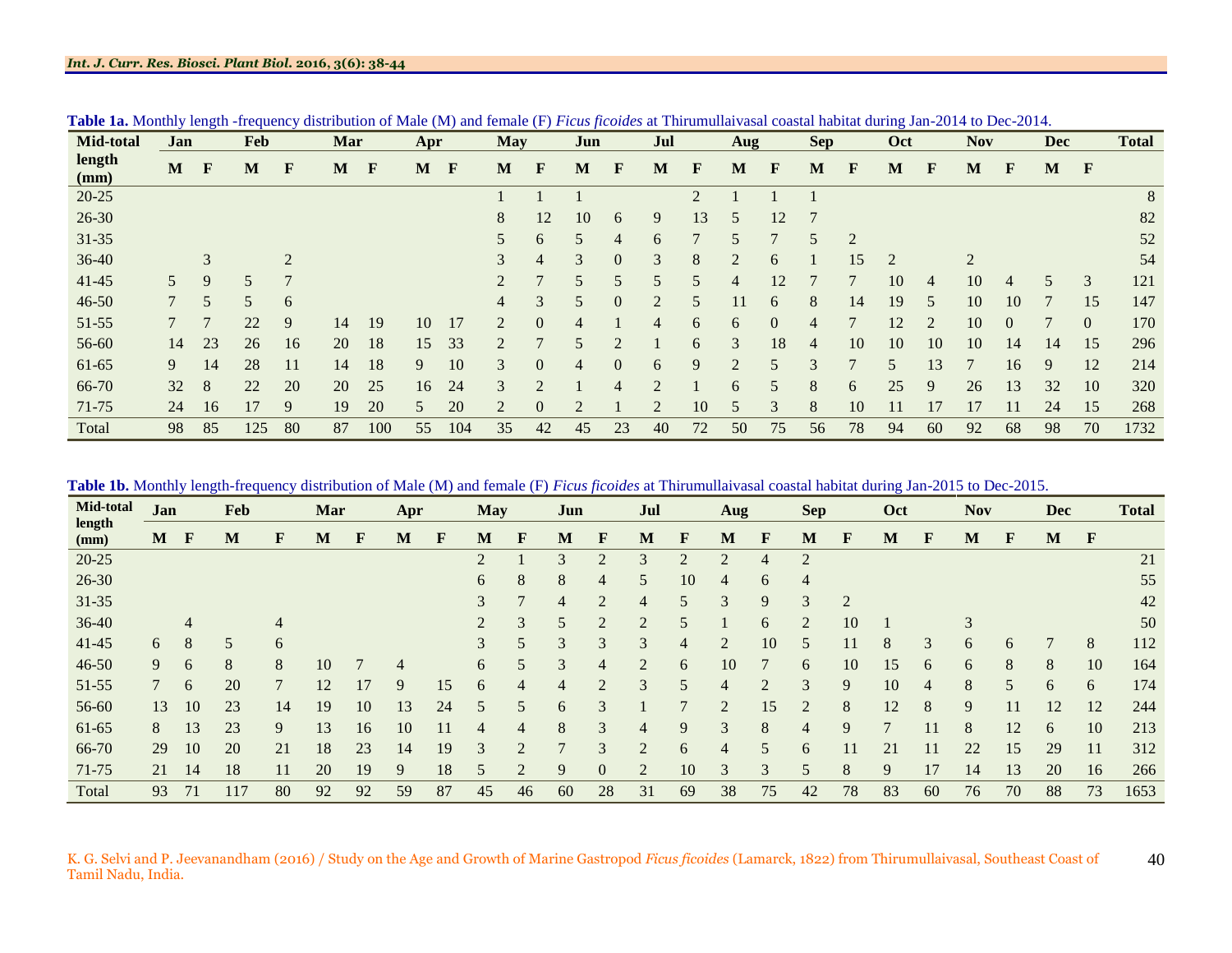| <b>Mid-total</b> | Jan            |              | <b>Feb</b> |                | Mar |     | Apr |              | <b>May</b>     |                | Jun |                  | Jul            |             | Aug            |                | <b>Sep</b>     |                | Oct            |                | <b>Nov</b>     |              | <b>Dec</b> |                | <b>Total</b> |
|------------------|----------------|--------------|------------|----------------|-----|-----|-----|--------------|----------------|----------------|-----|------------------|----------------|-------------|----------------|----------------|----------------|----------------|----------------|----------------|----------------|--------------|------------|----------------|--------------|
| length<br>(mm)   | M              | $\mathbf{F}$ | M          | F              | M   | F   | M   | $\mathbf{F}$ | M              | $\mathbf{F}$   | M   | $\mathbf{F}$     | M              | F           | M              | $\mathbf{F}$   | M              | $\mathbf{F}$   | M              | $\mathbf{F}$   | M              | $\mathbf{F}$ | M          | $\mathbf{F}$   |              |
| $20 - 25$        |                |              |            |                |     |     |     |              |                |                |     |                  |                | 2           |                |                |                |                |                |                |                |              |            |                | $8\,$        |
| $26 - 30$        |                |              |            |                |     |     |     |              | 8              | 12             | 10  | 6                | 9              | 13          | 5              | 12             |                |                |                |                |                |              |            |                | 82           |
| $31 - 35$        |                |              |            |                |     |     |     |              | 5              | 6              | 5   | 4                | 6              |             | 5              | $\mathcal{L}$  |                | $\overline{2}$ |                |                |                |              |            |                | 52           |
| $36-40$          |                | 3            |            | $\overline{2}$ |     |     |     |              | 3              | $\overline{4}$ | 3   | $\boldsymbol{0}$ | 3              | 8           | $\overline{c}$ | 6              |                | 15             | $\overline{2}$ |                | $\overline{2}$ |              |            |                | 54           |
| $41 - 45$        | 5 <sup>5</sup> | 9            |            | $\mathbf{r}$   |     |     |     |              | $\overline{2}$ | $\mathcal{L}$  | 5   | 5                | 5              |             | 4              | 12             |                | 7              | 10             | 4              | 10             | 4            |            | 3              | 121          |
| $46 - 50$        |                | 5            | 5          | 6              |     |     |     |              | $\overline{4}$ | 3              | 5   | $\overline{0}$   | $\overline{2}$ |             |                | 6              | 8              | 14             | 19             | 5              | 10             | 10           |            | 15             | 147          |
| 51-55            |                | $\mathbf{r}$ | 22         | 9              | 14  | 19  | 10  | 17           | $\overline{2}$ | $\overline{0}$ | 4   |                  | 4              | 6           | 6              | $\overline{0}$ | $\overline{4}$ | 7              | 12             | $\overline{2}$ | 10             | $\Omega$     |            | $\overline{0}$ | 170          |
| 56-60            | 14             | 23           | 26         | 16             | 20  | 18  | 15  | 33           | $\overline{2}$ |                | 5   | $\overline{2}$   |                | 6           | 3              | 18             | 4              | 10             | 10             | 10             | 10             | 14           | 14         | 15             | 296          |
| 61-65            | 9              | 14           | 28         | 11             | 14  | 18  | 9   | 10           | 3              | $\overline{0}$ | 4   | $\boldsymbol{0}$ | 6              | $\mathbf Q$ | $\overline{2}$ | 5              | $\mathcal{R}$  | $\mathbf{r}$   | 5              | 13             | $\mathbf{r}$   | 16           | 9          | 12             | 214          |
| 66-70            | 32             | 8            | 22         | 20             | 20  | 25  | 16  | 24           | 3              | $\overline{2}$ |     | 4                | $\mathfrak{D}$ |             | 6              | 5              | 8              | 6              | 25             | 9              | 26             | 13           | 32         | 10             | 320          |
| 71-75            | 24             | 16           | 17         | 9              | 19  | 20  | 5   | 20           | $\overline{2}$ | $\theta$       |     |                  | $\overline{2}$ | 10          | 5              | 3              | 8              | 10             | 11             | 17             | 17             |              | 24         | 15             | 268          |
| Total            | 98             | 85           | 125        | 80             | 87  | 100 | 55  | 104          | 35             | 42             | 45  | 23               | 40             | 72          | 50             | 75             | 56             | 78             | 94             | 60             | 92             | 68           | 98         | 70             | 1732         |

**Table 1a.** Monthly length -frequency distribution of Male (M) and female (F) *Ficus ficoides* at Thirumullaivasal coastal habitat during Jan-2014 to Dec-2014.

**Table 1b.** Monthly length-frequency distribution of Male (M) and female (F) *Ficus ficoides* at Thirumullaivasal coastal habitat during Jan-2015 to Dec-2015.

| Mid-total      | Jan |    | Feb |    | Mar |              | Apr          |    | <b>May</b>               |                | Jun           |                | Jul            |               | Aug                         |                | <b>Sep</b>     |                | Oct |              | <b>Nov</b> |    | Dec |              | <b>Total</b> |
|----------------|-----|----|-----|----|-----|--------------|--------------|----|--------------------------|----------------|---------------|----------------|----------------|---------------|-----------------------------|----------------|----------------|----------------|-----|--------------|------------|----|-----|--------------|--------------|
| length<br>(mm) | M   | F  | M   | F  | M   | F            | M            | F  | M                        | F              | M             | F              | M              | F             | M                           | F              | M              | F              | М   | $\mathbf{F}$ | M          | F  | M   | $\mathbf{F}$ |              |
| $20 - 25$      |     |    |     |    |     |              |              |    | $\bigcap$                |                | 3             | $\overline{c}$ | 3              | $\mathcal{D}$ | $\overline{2}$              | 4              | $\overline{2}$ |                |     |              |            |    |     |              | 21           |
| $26 - 30$      |     |    |     |    |     |              |              |    | 6                        | 8              | 8             | 4              | 5              | 10            | 4                           | 6              | $\overline{4}$ |                |     |              |            |    |     |              | 55           |
| 31-35          |     |    |     |    |     |              |              |    | 3                        | $\mathbf{r}$   | 4             | $\overline{2}$ | 4              | 5             | 3                           | 9              | 3              | $\overline{2}$ |     |              |            |    |     |              | 42           |
| 36-40          |     | 4  |     | 4  |     |              |              |    | $\overline{2}$           | 3              | 5             | $\overline{2}$ | $\overline{2}$ | 5             |                             | 6              | $\overline{2}$ | 10             |     |              | 3          |    |     |              | 50           |
| $41 - 45$      | 6   | 8  | 5   | 6  |     |              |              |    | 3                        | 5              | 3             | 3              | 3              | 4             | 2                           | 10             | 5              | 11             | 8   | 3            | 6          | 6  |     | 8            | 112          |
| $46 - 50$      | 9   | 6  | 8   | 8  | 10  | $\mathbf{r}$ | 4            |    | 6                        | 5              | 3             | 4              | $\overline{2}$ | 6             | 10                          | $\mathbf{r}$   | 6              | 10             | 15  | 6            | 6          | 8  | 8   | 10           | 164          |
| 51-55          |     | 6  | 20  | 7  | 12  | 17           | 9            | 15 | 6                        | 4              | 4             | $\overline{2}$ | 3              | 5             | $\overline{4}$              | $\overline{2}$ | 3              | 9              | 10  | 4            | 8          | 5  | 6   | 6            | 174          |
| 56-60          | 13  | 10 | 23  | 14 | 19  | 10           | 13           | 24 | $\overline{\phantom{1}}$ | 5              | 6             | 3              |                | $\mathbf{r}$  | $\mathcal{D}_{\mathcal{L}}$ | 15             | ◠              | 8              | 12  | 8            | 9          | 11 | 12  | 12           | 244          |
| 61-65          | 8   | 13 | 23  | 9  | 13  | 16           | 10           | 11 | 4                        | 4              | 8             | 3              | 4              | 9             | 3                           | 8              | $\overline{4}$ | 9              |     |              | 8          | 12 | 6   | 10           | 213          |
| 66-70          | 29  | 10 | 20  | 21 | 18  | 23           | 14           | 19 | $\mathcal{R}$            | $\mathfrak{D}$ | $\mathcal{I}$ | 3              | $\overline{2}$ | 6             | $\overline{4}$              | 5              | 6              |                | 21  |              | 22         | 15 | 29  | 11           | 312          |
| 71-75          | 21  | 14 | 18  | 11 | 20  | 19           | $\mathbf{Q}$ | 18 | 5                        | $\gamma$       | $\mathbf{Q}$  | $\overline{0}$ | $\overline{2}$ | 10            | 3                           | 3              |                | 8              | 9   | 17           | 14         | 13 | 20  | 16           | 266          |
| Total          | 93  | 71 | 117 | 80 | 92  | 92           | 59           | 87 | 45                       | 46             | 60            | 28             | 31             | 69            | 38                          | 75             | 42             | 78             | 83  | 60           | 76         | 70 | 88  | 73           | 1653         |

K. G. Selvi and P. Jeevanandham (2016) / Study on the Age and Growth of Marine Gastropod *Ficus ficoides* (Lamarck, 1822) from Thirumullaivasal, Southeast Coast of Tamil Nadu, India. 40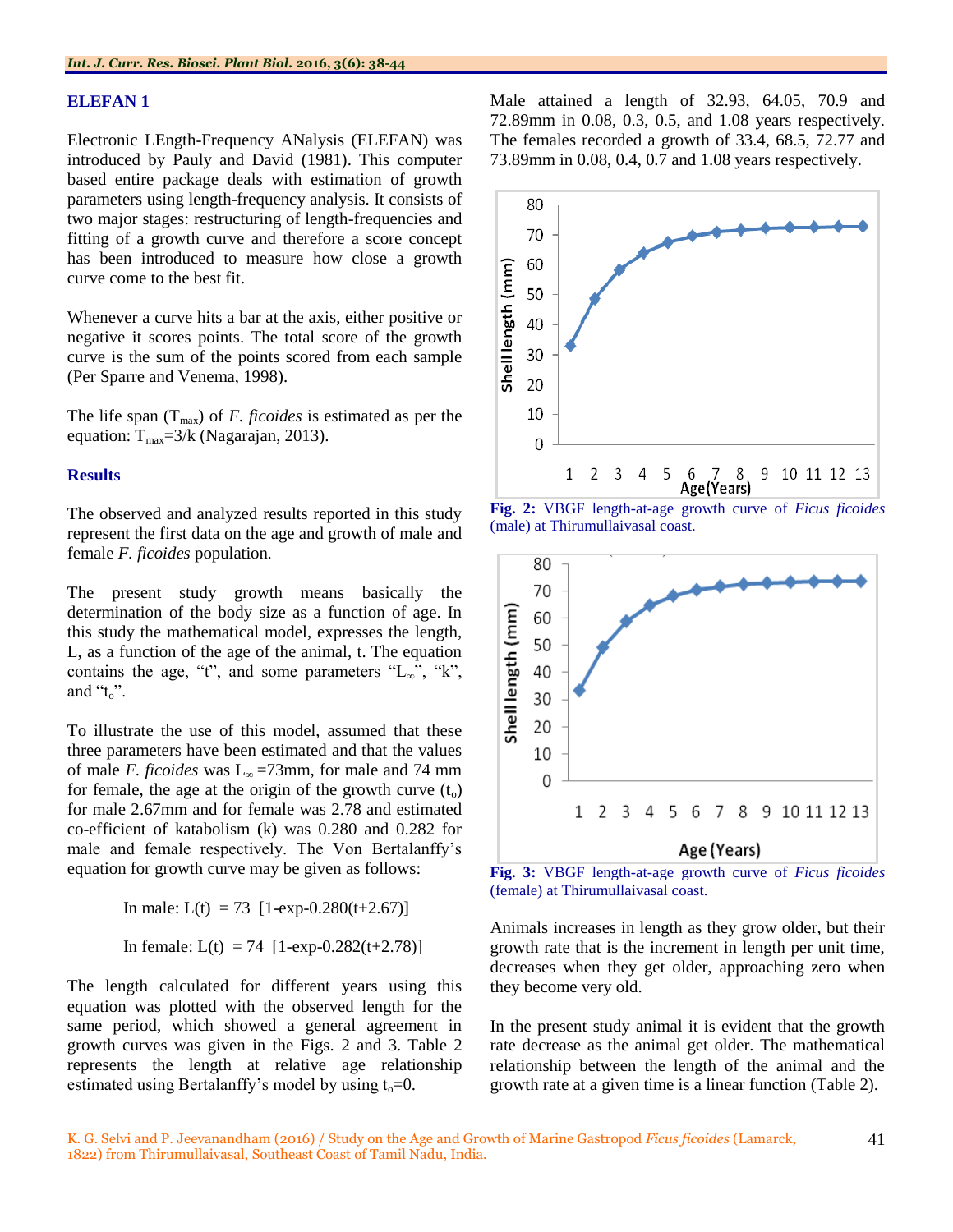#### **ELEFAN 1**

Electronic LEngth-Frequency ANalysis (ELEFAN) was introduced by Pauly and David (1981). This computer based entire package deals with estimation of growth parameters using length-frequency analysis. It consists of two major stages: restructuring of length-frequencies and fitting of a growth curve and therefore a score concept has been introduced to measure how close a growth curve come to the best fit.

Whenever a curve hits a bar at the axis, either positive or negative it scores points. The total score of the growth curve is the sum of the points scored from each sample (Per Sparre and Venema, 1998).

The life span  $(T_{\text{max}})$  of *F. ficoides* is estimated as per the equation:  $T_{\text{max}}=3/k$  (Nagarajan, 2013).

#### **Results**

The observed and analyzed results reported in this study represent the first data on the age and growth of male and female *F. ficoides* population*.*

The present study growth means basically the determination of the body size as a function of age. In this study the mathematical model, expresses the length, L, as a function of the age of the animal, t. The equation contains the age, "t", and some parameters "L $_{\infty}$ ", "k", and " $t_0$ ".

To illustrate the use of this model, assumed that these three parameters have been estimated and that the values of male *F. ficoides* was  $L_{\infty}$  =73mm, for male and 74 mm for female, the age at the origin of the growth curve  $(t_0)$ for male 2.67mm and for female was 2.78 and estimated co-efficient of katabolism (k) was 0.280 and 0.282 for male and female respectively. The Von Bertalanffy"s equation for growth curve may be given as follows:

In male: L(t) = 73 [1-exp-0.280(t+2.67)] In female: L(t) = 74 [1-exp-0.282(t+2.78)]

The length calculated for different years using this equation was plotted with the observed length for the same period, which showed a general agreement in growth curves was given in the Figs. 2 and 3. Table 2 represents the length at relative age relationship estimated using Bertalanffy's model by using  $t_0=0$ .

Male attained a length of 32.93, 64.05, 70.9 and 72.89mm in 0.08, 0.3, 0.5, and 1.08 years respectively. The females recorded a growth of 33.4, 68.5, 72.77 and 73.89mm in 0.08, 0.4, 0.7 and 1.08 years respectively.



**Fig. 2:** VBGF length-at-age growth curve of *Ficus ficoides*  (male) at Thirumullaivasal coast.



**Fig. 3:** VBGF length-at-age growth curve of *Ficus ficoides*  (female) at Thirumullaivasal coast.

Animals increases in length as they grow older, but their growth rate that is the increment in length per unit time, decreases when they get older, approaching zero when they become very old.

In the present study animal it is evident that the growth rate decrease as the animal get older. The mathematical relationship between the length of the animal and the growth rate at a given time is a linear function (Table 2).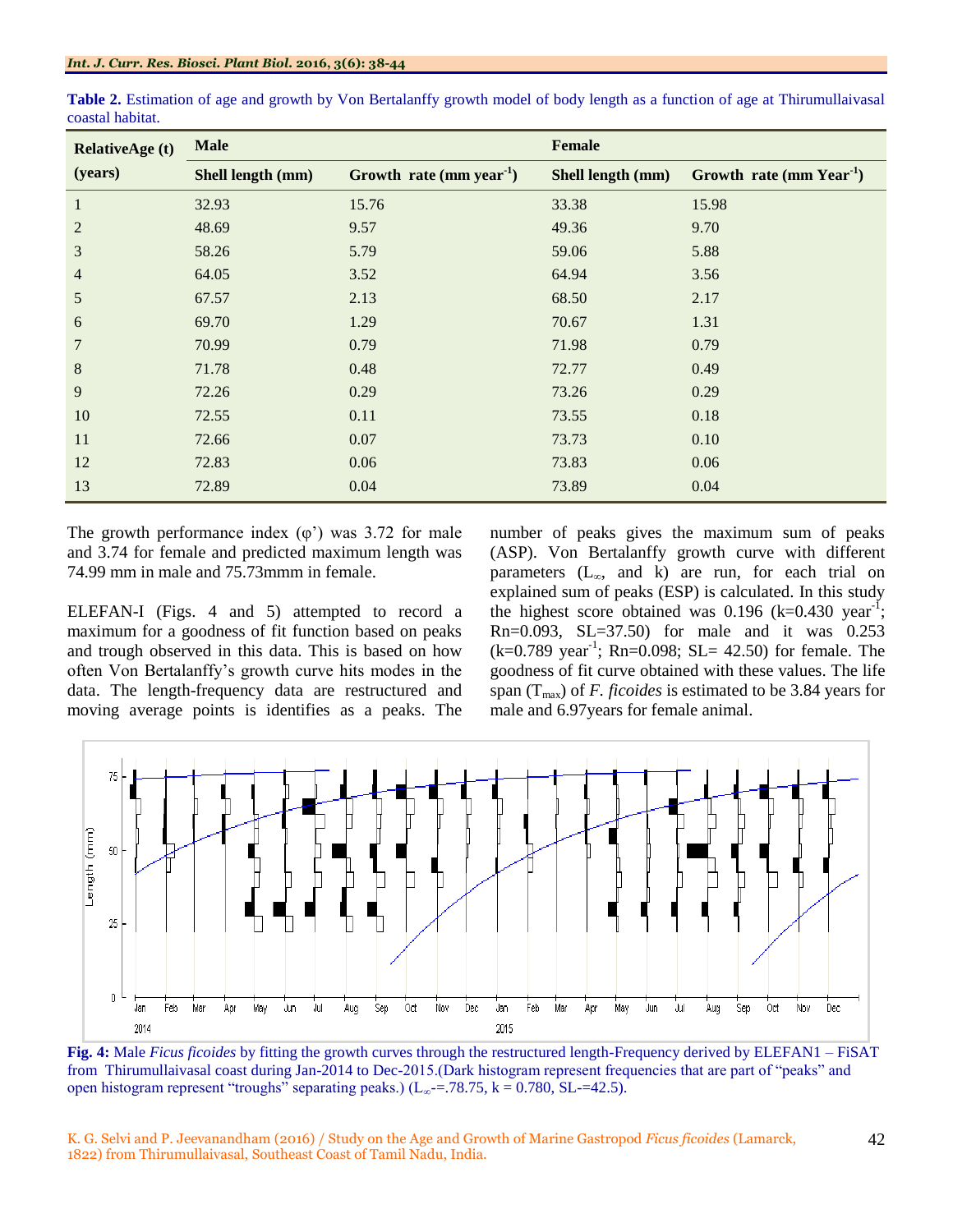| <b>RelativeAge (t)</b> | <b>Male</b>       |                            | <b>Female</b>     |                            |  |  |  |  |  |
|------------------------|-------------------|----------------------------|-------------------|----------------------------|--|--|--|--|--|
| (years)                | Shell length (mm) | Growth rate (mm year $1$ ) | Shell length (mm) | Growth rate (mm $Year^1$ ) |  |  |  |  |  |
| $\mathbf{1}$           | 32.93             | 15.76                      | 33.38             | 15.98                      |  |  |  |  |  |
| $\overline{2}$         | 48.69             | 9.57                       | 49.36             | 9.70                       |  |  |  |  |  |
| 3                      | 58.26             | 5.79                       | 59.06             | 5.88                       |  |  |  |  |  |
| $\overline{4}$         | 64.05             | 3.52                       | 64.94             | 3.56                       |  |  |  |  |  |
| 5                      | 67.57             | 2.13                       | 68.50             | 2.17                       |  |  |  |  |  |
| 6                      | 69.70             | 1.29                       | 70.67             | 1.31                       |  |  |  |  |  |
| $\overline{7}$         | 70.99             | 0.79                       | 71.98             | 0.79                       |  |  |  |  |  |
| $\,8\,$                | 71.78             | 0.48                       | 72.77             | 0.49                       |  |  |  |  |  |
| 9                      | 72.26             | 0.29                       | 73.26             | 0.29                       |  |  |  |  |  |
| 10                     | 72.55             | 0.11                       | 73.55             | 0.18                       |  |  |  |  |  |
| 11                     | 72.66             | 0.07                       | 73.73             | 0.10                       |  |  |  |  |  |
| 12                     | 72.83             | 0.06                       | 73.83             | 0.06                       |  |  |  |  |  |
| 13                     | 72.89             | 0.04                       | 73.89             | 0.04                       |  |  |  |  |  |

**Table 2.** Estimation of age and growth by Von Bertalanffy growth model of body length as a function of age at Thirumullaivasal coastal habitat.

The growth performance index  $(\varphi)$  was 3.72 for male and 3.74 for female and predicted maximum length was 74.99 mm in male and 75.73mmm in female.

ELEFAN-I (Figs. 4 and 5) attempted to record a maximum for a goodness of fit function based on peaks and trough observed in this data. This is based on how often Von Bertalanffy"s growth curve hits modes in the data. The length-frequency data are restructured and moving average points is identifies as a peaks. The number of peaks gives the maximum sum of peaks (ASP). Von Bertalanffy growth curve with different parameters  $(L<sub>∞</sub>, and k)$  are run, for each trial on explained sum of peaks (ESP) is calculated. In this study the highest score obtained was 0.196  $(k=0.430 \text{ year}^{-1})$ ; Rn=0.093, SL=37.50) for male and it was 0.253  $(k=0.789 \text{ year}^{-1}; \text{ Rn}=0.098; \text{ SL}= 42.50)$  for female. The goodness of fit curve obtained with these values. The life span (Tmax) of *F. ficoides* is estimated to be 3.84 years for male and 6.97years for female animal.



**Fig. 4:** Male *Ficus ficoides* by fitting the growth curves through the restructured length-Frequency derived by ELEFAN1 – FiSAT from Thirumullaivasal coast during Jan-2014 to Dec-2015.(Dark histogram represent frequencies that are part of "peaks" and open histogram represent "troughs" separating peaks.) (L<sub>∞</sub> $=$ .78.75, k = 0.780, SL $=$ =42.5).

K. G. Selvi and P. Jeevanandham (2016) / Study on the Age and Growth of Marine Gastropod *Ficus ficoides* (Lamarck, 1822) from Thirumullaivasal, Southeast Coast of Tamil Nadu, India.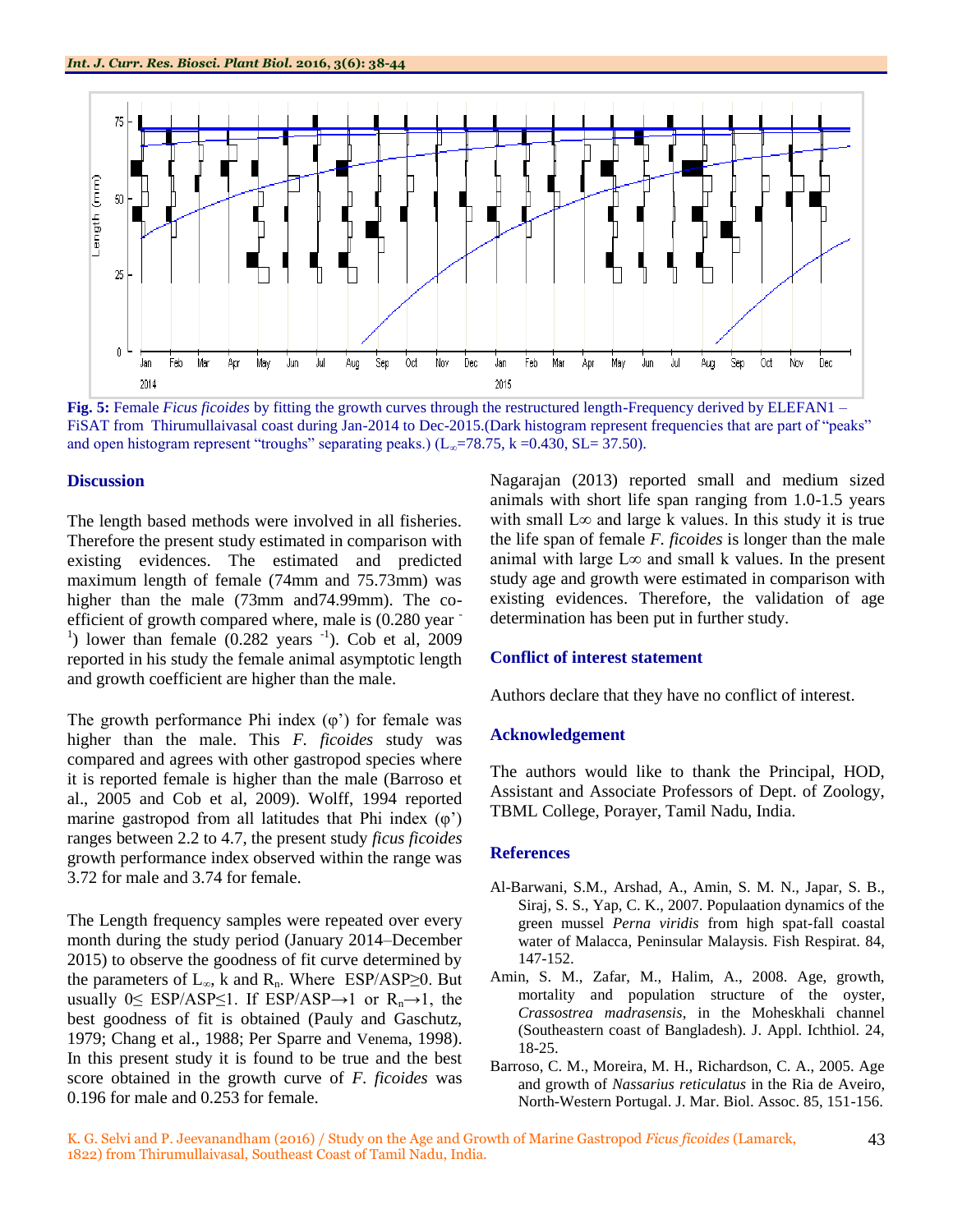

**Fig. 5:** Female *Ficus ficoides* by fitting the growth curves through the restructured length-Frequency derived by ELEFAN1 – FiSAT from Thirumullaivasal coast during Jan-2014 to Dec-2015. (Dark histogram represent frequencies that are part of "peaks" and open histogram represent "troughs" separating peaks.) ( $L_{\infty}$ =78.75, k =0.430, SL= 37.50).

#### **Discussion**

The length based methods were involved in all fisheries. Therefore the present study estimated in comparison with existing evidences. The estimated and predicted maximum length of female (74mm and 75.73mm) was higher than the male (73mm and74.99mm). The coefficient of growth compared where, male is (0.280 year - <sup>1</sup>) lower than female  $(0.282 \text{ years}^{-1})$ . Cob et al, 2009 reported in his study the female animal asymptotic length and growth coefficient are higher than the male.

The growth performance Phi index  $(\varphi)$  for female was higher than the male. This *F. ficoides* study was compared and agrees with other gastropod species where it is reported female is higher than the male (Barroso et al., 2005 and Cob et al, 2009). Wolff, 1994 reported marine gastropod from all latitudes that Phi index  $(\varphi)$ ranges between 2.2 to 4.7, the present study *ficus ficoides* growth performance index observed within the range was 3.72 for male and 3.74 for female.

The Length frequency samples were repeated over every month during the study period (January 2014–December 2015) to observe the goodness of fit curve determined by the parameters of  $L_{\infty}$ , k and  $R_n$ . Where ESP/ASP≥0. But usually  $0 \leq$  ESP/ASP $\leq$ 1. If ESP/ASP→1 or R<sub>n</sub>→1, the best goodness of fit is obtained (Pauly and Gaschutz, 1979; Chang et al., 1988; Per Sparre and Venema, 1998). In this present study it is found to be true and the best score obtained in the growth curve of *F. ficoides* was 0.196 for male and 0.253 for female.

Nagarajan (2013) reported small and medium sized animals with short life span ranging from 1.0-1.5 years with small  $L\infty$  and large k values. In this study it is true the life span of female *F. ficoides* is longer than the male animal with large  $L\infty$  and small k values. In the present study age and growth were estimated in comparison with existing evidences. Therefore, the validation of age determination has been put in further study.

# **Conflict of interest statement**

Authors declare that they have no conflict of interest.

#### **Acknowledgement**

The authors would like to thank the Principal, HOD, Assistant and Associate Professors of Dept. of Zoology, TBML College, Porayer, Tamil Nadu, India.

#### **References**

- Al-Barwani, S.M., Arshad, A., Amin, S. M. N., Japar, S. B., Siraj, S. S., Yap, C. K., 2007. Populaation dynamics of the green mussel *Perna viridis* from high spat-fall coastal water of Malacca, Peninsular Malaysis. Fish Respirat. 84, 147-152.
- Amin, S. M., Zafar, M., Halim, A., 2008. Age, growth, mortality and population structure of the oyster, *Crassostrea madrasensis*, in the Moheskhali channel (Southeastern coast of Bangladesh). J. Appl. Ichthiol. 24, 18-25.
- Barroso, C. M., Moreira, M. H., Richardson, C. A., 2005. Age and growth of *Nassarius reticulatus* in the Ria de Aveiro, North-Western Portugal. J. Mar. Biol. Assoc. 85, 151-156.